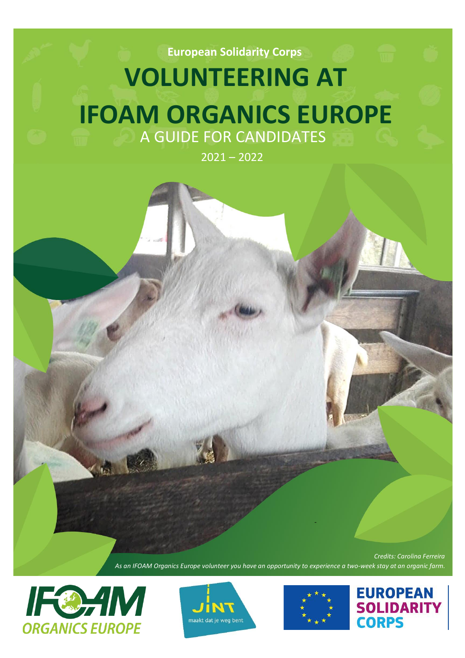**European Solidarity Corps**

# **VOLUNTEERING AT IFOAM ORGANICS EUROPE** A GUIDE FOR CANDIDATES

 $2021 - 2022$ 



*As an IFOAM Organics Europe volunteer you have an opportunity to experience a two-week stay at an organic farm.*







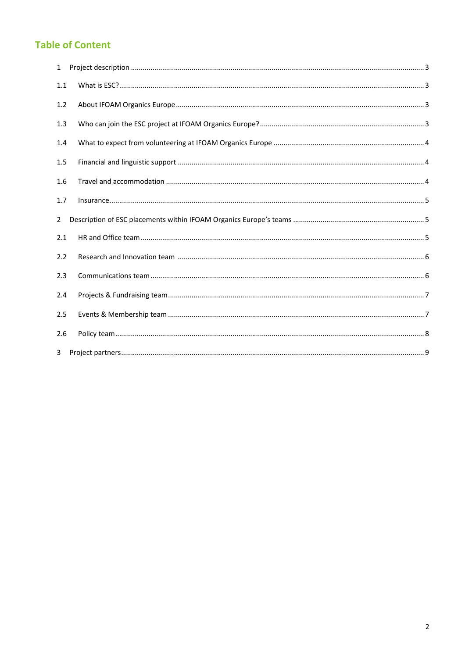# **Table of Content**

| $\mathbf{1}$ |  |
|--------------|--|
| 1.1          |  |
| 1.2          |  |
| 1.3          |  |
| 1.4          |  |
| 1.5          |  |
| 1.6          |  |
| 1.7          |  |
| 2            |  |
| 2.1          |  |
| 2.2          |  |
| 2.3          |  |
| 2.4          |  |
| 2.5          |  |
| 2.6          |  |
| 3            |  |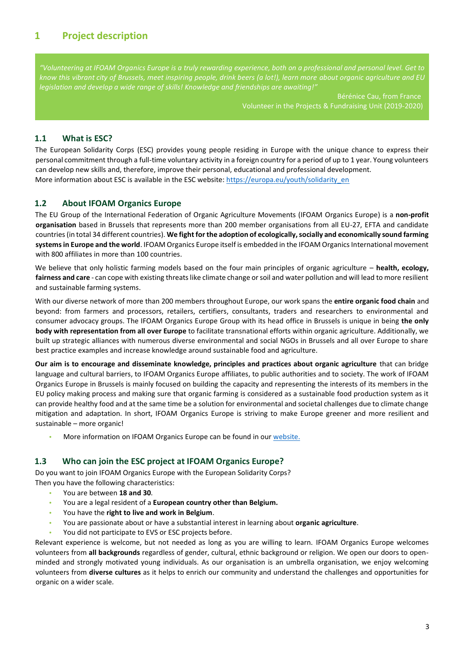# <span id="page-2-0"></span>**1 Project description**

*"Volunteering at IFOAM Organics Europe is a truly rewarding experience, both on a professional and personal level. Get to know this vibrant city of Brussels, meet inspiring people, drink beers (a lot!), learn more about organic agriculture and EU legislation and develop a wide range of skills! Knowledge and friendships are awaiting!"*

> Bérénice Cau, from France Volunteer in the Projects & Fundraising Unit (2019-2020)

#### <span id="page-2-1"></span>**1.1 What is ESC?**

The European Solidarity Corps (ESC) provides young people residing in Europe with the unique chance to express their personal commitment through a full-time voluntary activity in a foreign country for a period of up to 1 year. Young volunteers can develop new skills and, therefore, improve their personal, educational and professional development. More information about ESC is available in the ESC website[: https://europa.eu/youth/solidarity\\_en](https://europa.eu/youth/solidarity_en)

#### <span id="page-2-2"></span>**1.2 About IFOAM Organics Europe**

The EU Group of the International Federation of Organic Agriculture Movements (IFOAM Organics Europe) is a **non-profit organisation** based in Brussels that represents more than 200 member organisations from all EU-27, EFTA and candidate countries (in total 34 different countries). **We fight for the adoption of ecologically, socially and economically sound farming systems in Europe and the world**. IFOAM Organics Europe itself is embedded in the IFOAM Organics International movement with 800 affiliates in more than 100 countries.

We believe that only holistic farming models based on the four main principles of organic agriculture – **health, ecology, fairness and care** - can cope with existing threats like climate change or soil and water pollution and will lead to more resilient and sustainable farming systems.

With our diverse network of more than 200 members throughout Europe, our work spans the **entire organic food chain** and beyond: from farmers and processors, retailers, certifiers, consultants, traders and researchers to environmental and consumer advocacy groups. The IFOAM Organics Europe Group with its head office in Brussels is unique in being **the only body with representation from all over Europe** to facilitate transnational efforts within organic agriculture. Additionally, we built up strategic alliances with numerous diverse environmental and social NGOs in Brussels and all over Europe to share best practice examples and increase knowledge around sustainable food and agriculture.

**Our aim is to encourage and disseminate knowledge, principles and practices about organic agriculture** that can bridge language and cultural barriers, to IFOAM Organics Europe affiliates, to public authorities and to society. The work of IFOAM Organics Europe in Brussels is mainly focused on building the capacity and representing the interests of its members in the EU policy making process and making sure that organic farming is considered as a sustainable food production system as it can provide healthy food and at the same time be a solution for environmental and societal challenges due to climate change mitigation and adaptation. In short, IFOAM Organics Europe is striving to make Europe greener and more resilient and sustainable – more organic!

**•** More information on IFOAM Organics Europe can be found in ou[r website.](https://www.organicseurope.bio/about-us/organics-europe/)

#### <span id="page-2-3"></span>**1.3 Who can join the ESC project at IFOAM Organics Europe?**

Do you want to join IFOAM Organics Europe with the European Solidarity Corps? Then you have the following characteristics:

- **•** You are between **18 and 30**.
- **•** You are a legal resident of a **European country other than Belgium.**
- **•** You have the **right to live and work in Belgium**.
- **•** You are passionate about or have a substantial interest in learning about **organic agriculture**.
- **•** You did not participate to EVS or ESC projects before.

Relevant experience is welcome, but not needed as long as you are willing to learn. IFOAM Organics Europe welcomes volunteers from **all backgrounds** regardless of gender, cultural, ethnic background or religion. We open our doors to openminded and strongly motivated young individuals. As our organisation is an umbrella organisation, we enjoy welcoming volunteers from **diverse cultures** as it helps to enrich our community and understand the challenges and opportunities for organic on a wider scale.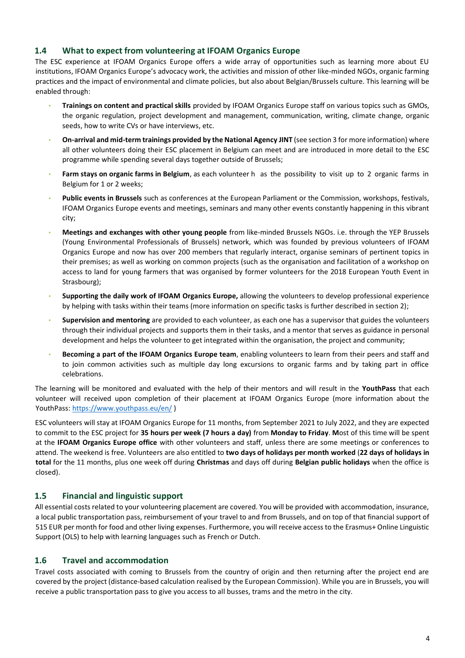## <span id="page-3-0"></span>**1.4 What to expect from volunteering at IFOAM Organics Europe**

The ESC experience at IFOAM Organics Europe offers a wide array of opportunities such as learning more about EU institutions, IFOAM Organics Europe's advocacy work, the activities and mission of other like-minded NGOs, organic farming practices and the impact of environmental and climate policies, but also about Belgian/Brussels culture. This learning will be enabled through:

- **Trainings on content and practical skills** provided by IFOAM Organics Europe staff on various topics such as GMOs, the organic regulation, project development and management, communication, writing, climate change, organic seeds, how to write CVs or have interviews, etc.
- **On-arrival and mid-term trainings provided by the National Agency JINT** (see section 3 for more information) where all other volunteers doing their ESC placement in Belgium can meet and are introduced in more detail to the ESC programme while spending several days together outside of Brussels;
- **Farm stays on organic farms in Belgium**, as each volunteer h as the possibility to visit up to 2 organic farms in Belgium for 1 or 2 weeks;
- **Public events in Brussels** such as conferences at the European Parliament or the Commission, workshops, festivals, IFOAM Organics Europe events and meetings, seminars and many other events constantly happening in this vibrant city;
- **Meetings and exchanges with other young people** from like-minded Brussels NGOs. i.e. through the YEP Brussels (Young Environmental Professionals of Brussels) network, which was founded by previous volunteers of IFOAM Organics Europe and now has over 200 members that regularly interact, organise seminars of pertinent topics in their premises; as well as working on common projects (such as the organisation and facilitation of a workshop on access to land for young farmers that was organised by former volunteers for the 2018 European Youth Event in Strasbourg);
- **Supporting the daily work of IFOAM Organics Europe,** allowing the volunteers to develop professional experience by helping with tasks within their teams (more information on specific tasks is further described in section 2);
- **Supervision and mentoring** are provided to each volunteer, as each one has a supervisor that guides the volunteers through their individual projects and supports them in their tasks, and a mentor that serves as guidance in personal development and helps the volunteer to get integrated within the organisation, the project and community;
- **Becoming a part of the IFOAM Organics Europe team**, enabling volunteers to learn from their peers and staff and to join common activities such as multiple day long excursions to organic farms and by taking part in office celebrations.

The learning will be monitored and evaluated with the help of their mentors and will result in the **YouthPass** that each volunteer will received upon completion of their placement at IFOAM Organics Europe (more information about the YouthPass[: https://www.youthpass.eu/en/](https://www.youthpass.eu/en/) )

ESC volunteers will stay at IFOAM Organics Europe for 11 months, from September 2021 to July 2022, and they are expected to commit to the ESC project for **35 hours per week (7 hours a day)** from **Monday to Friday**. **M**ost of this time will be spent at the **IFOAM Organics Europe office** with other volunteers and staff, unless there are some meetings or conferences to attend. The weekend is free. Volunteers are also entitled to **two days of holidays per month worked** (**22 days of holidays in total** for the 11 months, plus one week off during **Christmas** and days off during **Belgian public holidays** when the office is closed).

## <span id="page-3-1"></span>**1.5 Financial and linguistic support**

All essential costs related to your volunteering placement are covered. You will be provided with accommodation, insurance, a local public transportation pass, reimbursement of your travel to and from Brussels, and on top of that financial support of 515 EUR per month for food and other living expenses. Furthermore, you will receive access to the Erasmus+ Online Linguistic Support (OLS) to help with learning languages such as French or Dutch.

## <span id="page-3-2"></span>**1.6 Travel and accommodation**

Travel costs associated with coming to Brussels from the country of origin and then returning after the project end are covered by the project (distance-based calculation realised by the European Commission). While you are in Brussels, you will receive a public transportation pass to give you access to all busses, trams and the metro in the city.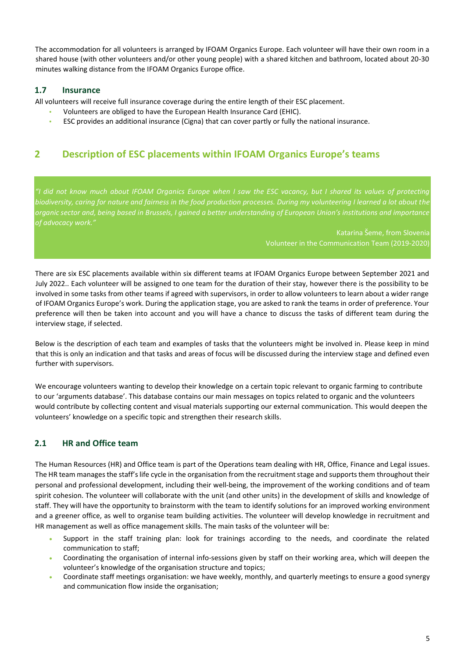The accommodation for all volunteers is arranged by IFOAM Organics Europe. Each volunteer will have their own room in a shared house (with other volunteers and/or other young people) with a shared kitchen and bathroom, located about 20-30 minutes walking distance from the IFOAM Organics Europe office.

## <span id="page-4-0"></span>**1.7 Insurance**

All volunteers will receive full insurance coverage during the entire length of their ESC placement.

- **•** Volunteers are obliged to have the European Health Insurance Card (EHIC).
- **•** ESC provides an additional insurance (Cigna) that can cover partly or fully the national insurance.

## <span id="page-4-1"></span>**2 Description of ESC placements within IFOAM Organics Europe's teams**

*"I did not know much about IFOAM Organics Europe when I saw the ESC vacancy, but I shared its values of protecting biodiversity, caring for nature and fairness in the food production processes. During my volunteering I learned a lot about the organic sector and, being based in Brussels, I gained a better understanding of European Union's institutions and importance of advocacy work."*

> Katarina Šeme, from Slovenia Volunteer in the Communication Team (2019-2020)

There are six ESC placements available within six different teams at IFOAM Organics Europe between September 2021 and July 2022.. Each volunteer will be assigned to one team for the duration of their stay, however there is the possibility to be involved in some tasks from other teams if agreed with supervisors, in order to allow volunteers to learn about a wider range of IFOAM Organics Europe's work. During the application stage, you are asked to rank the teams in order of preference. Your preference will then be taken into account and you will have a chance to discuss the tasks of different team during the interview stage, if selected.

Below is the description of each team and examples of tasks that the volunteers might be involved in. Please keep in mind that this is only an indication and that tasks and areas of focus will be discussed during the interview stage and defined even further with supervisors.

We encourage volunteers wanting to develop their knowledge on a certain topic relevant to organic farming to contribute to our 'arguments database'. This database contains our main messages on topics related to organic and the volunteers would contribute by collecting content and visual materials supporting our external communication. This would deepen the volunteers' knowledge on a specific topic and strengthen their research skills.

## <span id="page-4-2"></span>**2.1 HR and Office team**

The Human Resources (HR) and Office team is part of the Operations team dealing with HR, Office, Finance and Legal issues. The HR team manages the staff's life cycle in the organisation from the recruitment stage and supports them throughout their personal and professional development, including their well-being, the improvement of the working conditions and of team spirit cohesion. The volunteer will collaborate with the unit (and other units) in the development of skills and knowledge of staff. They will have the opportunity to brainstorm with the team to identify solutions for an improved working environment and a greener office, as well to organise team building activities. The volunteer will develop knowledge in recruitment and HR management as well as office management skills. The main tasks of the volunteer will be:

- Support in the staff training plan: look for trainings according to the needs, and coordinate the related communication to staff;
- Coordinating the organisation of internal info-sessions given by staff on their working area, which will deepen the volunteer's knowledge of the organisation structure and topics;
- Coordinate staff meetings organisation: we have weekly, monthly, and quarterly meetings to ensure a good synergy and communication flow inside the organisation;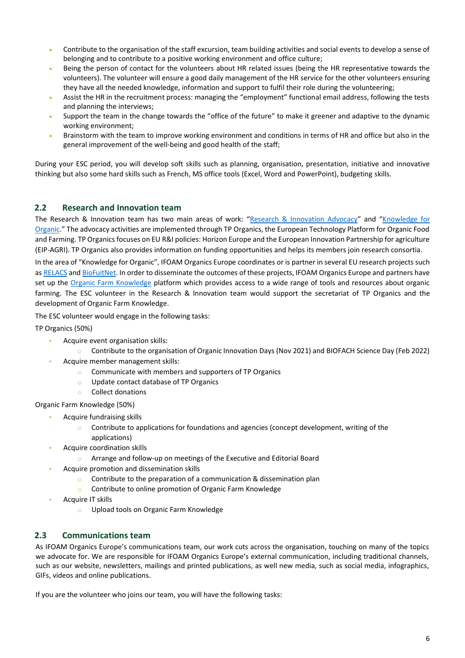- Contribute to the organisation of the staff excursion, team building activities and social events to develop a sense of belonging and to contribute to a positive working environment and office culture;
- Being the person of contact for the volunteers about HR related issues (being the HR representative towards the volunteers). The volunteer will ensure a good daily management of the HR service for the other volunteers ensuring they have all the needed knowledge, information and support to fulfil their role during the volunteering;
- Assist the HR in the recruitment process: managing the "employment" functional email address, following the tests and planning the interviews;
- Support the team in the change towards the "office of the future" to make it greener and adaptive to the dynamic working environment;
- Brainstorm with the team to improve working environment and conditions in terms of HR and office but also in the general improvement of the well-being and good health of the staff;

During your ESC period, you will develop soft skills such as planning, organisation, presentation, initiative and innovative thinking but also some hard skills such as French, MS office tools (Excel, Word and PowerPoint), budgeting skills.

## <span id="page-5-0"></span>**2.2 Research and Innovation team**

The Research & Innovation team has two main areas of work: "[Research & Innovation Advocacy](https://www.organicseurope.bio/what-we-do/research-innovation/reasearch-innovation-advocacy/)" and "[Knowledge for](https://www.organicseurope.bio/what-we-do/research-innovation/knowledge-for-organic/)  [Organic](https://www.organicseurope.bio/what-we-do/research-innovation/knowledge-for-organic/)." The advocacy activities are implemented through TP Organics, the European Technology Platform for Organic Food and Farming. TP Organics focuses on EU R&I policies: Horizon Europe and the European Innovation Partnership for agriculture (EIP-AGRI). TP Organics also provides information on funding opportunities and helps its members join research consortia.

In the area of "Knowledge for Organic", IFOAM Organics Europe coordinates or is partner in several EU research projects such a[s RELACS](https://relacs-project.eu/) and [BioFuitNet.](https://biofruitnet.eu/) In order to disseminate the outcomes of these projects, IFOAM Organics Europe and partners have set up the [Organic Farm Knowledge](https://organic-farmknowledge.org/) platform which provides access to a wide range of tools and resources about organic farming. The ESC volunteer in the Research & Innovation team would support the secretariat of TP Organics and the development of Organic Farm Knowledge.

The ESC volunteer would engage in the following tasks:

TP Organics (50%)

- **•** Acquire event organisation skills:
	- o Contribute to the organisation of Organic Innovation Days (Nov 2021) and BIOFACH Science Day (Feb 2022)
- **•** Acquire member management skills:
	- o Communicate with members and supporters of TP Organics
	- o Update contact database of TP Organics
	- o Collect donations

Organic Farm Knowledge (50%)

- **•** Acquire fundraising skills
	- $\circ$  Contribute to applications for foundations and agencies (concept development, writing of the applications)
	- **•** Acquire coordination skills
		- o Arrange and follow-up on meetings of the Executive and Editorial Board
- **•** Acquire promotion and dissemination skills
	- o Contribute to the preparation of a communication & dissemination plan
	- o Contribute to online promotion of Organic Farm Knowledge
- **•** Acquire IT skills
	- o Upload tools on Organic Farm Knowledge

## <span id="page-5-1"></span>**2.3 Communications team**

As IFOAM Organics Europe's communications team, our work cuts across the organisation, touching on many of the topics we advocate for. We are responsible for IFOAM Organics Europe's external communication, including traditional channels, such as our website, newsletters, mailings and printed publications, as well new media, such as social media, infographics, GIFs, videos and online publications.

If you are the volunteer who joins our team, you will have the following tasks: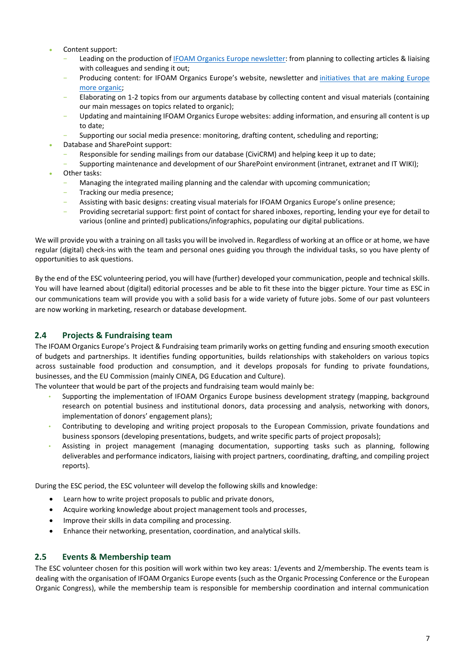- Content support:
	- Leading on the production of [IFOAM Organics Europe newsletter:](https://www.organicseurope.bio/newsletter/) from planning to collecting articles & liaising with colleagues and sending it out;
	- Producing content: for IFOAM Organics Europe's website, newsletter and initiatives that are making Europe [more organic;](https://euorganic2030.bio/)
	- Elaborating on 1-2 topics from our arguments database by collecting content and visual materials (containing our main messages on topics related to organic);
	- Updating and maintaining IFOAM Organics Europe websites: adding information, and ensuring all content is up to date;
	- Supporting our social media presence: monitoring, drafting content, scheduling and reporting;
- Database and SharePoint support:
	- Responsible for sending mailings from our database (CiviCRM) and helping keep it up to date;
	- Supporting maintenance and development of our SharePoint environment (intranet, extranet and IT WIKI);
- Other tasks:
	- Managing the integrated mailing planning and the calendar with upcoming communication;
	- Tracking our media presence;
	- Assisting with basic designs: creating visual materials for IFOAM Organics Europe's online presence;
	- Providing secretarial support: first point of contact for shared inboxes, reporting, lending your eye for detail to various (online and printed) publications/infographics, populating our digital publications.

We will provide you with a training on all tasks you will be involved in. Regardless of working at an office or at home, we have regular (digital) check-ins with the team and personal ones guiding you through the individual tasks, so you have plenty of opportunities to ask questions.

By the end of the ESC volunteering period, you will have (further) developed your communication, people and technical skills. You will have learned about (digital) editorial processes and be able to fit these into the bigger picture. Your time as ESC in our communications team will provide you with a solid basis for a wide variety of future jobs. Some of our past volunteers are now working in marketing, research or database development.

## <span id="page-6-0"></span>**2.4 Projects & Fundraising team**

The IFOAM Organics Europe's Project & Fundraising team primarily works on getting funding and ensuring smooth execution of budgets and partnerships. It identifies funding opportunities, builds relationships with stakeholders on various topics across sustainable food production and consumption, and it develops proposals for funding to private foundations, businesses, and the EU Commission (mainly CINEA, DG Education and Culture).

The volunteer that would be part of the projects and fundraising team would mainly be:

- Supporting the implementation of IFOAM Organics Europe business development strategy (mapping, background research on potential business and institutional donors, data processing and analysis, networking with donors, implementation of donors' engagement plans);
- Contributing to developing and writing project proposals to the European Commission, private foundations and business sponsors (developing presentations, budgets, and write specific parts of project proposals);
- Assisting in project management (managing documentation, supporting tasks such as planning, following deliverables and performance indicators, liaising with project partners, coordinating, drafting, and compiling project reports).

During the ESC period, the ESC volunteer will develop the following skills and knowledge:

- Learn how to write project proposals to public and private donors,
- Acquire working knowledge about project management tools and processes,
- Improve their skills in data compiling and processing.
- Enhance their networking, presentation, coordination, and analytical skills.

#### <span id="page-6-1"></span>**2.5 Events & Membership team**

The ESC volunteer chosen for this position will work within two key areas: 1/events and 2/membership. The events team is dealing with the organisation of IFOAM Organics Europe events (such as the Organic Processing Conference or the European Organic Congress), while the membership team is responsible for membership coordination and internal communication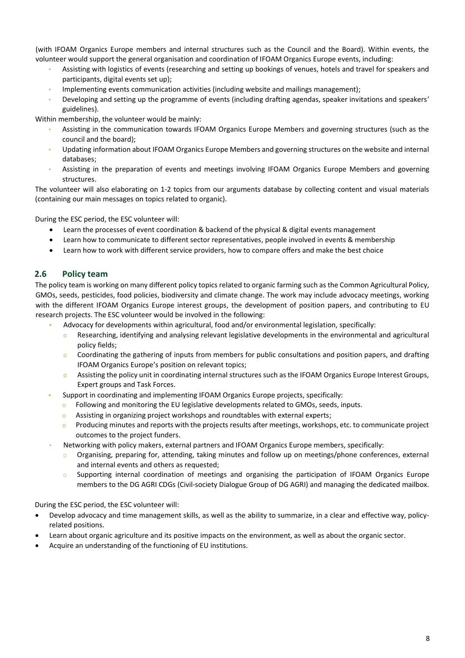(with IFOAM Organics Europe members and internal structures such as the Council and the Board). Within events, the volunteer would support the general organisation and coordination of IFOAM Organics Europe events, including:

- Assisting with logistics of events (researching and setting up bookings of venues, hotels and travel for speakers and participants, digital events set up);
- Implementing events communication activities (including website and mailings management);
- Developing and setting up the programme of events (including drafting agendas, speaker invitations and speakers' guidelines).

Within membership, the volunteer would be mainly:

- Assisting in the communication towards IFOAM Organics Europe Members and governing structures (such as the council and the board);
- Updating information about IFOAM Organics Europe Members and governing structures on the website and internal databases;
- Assisting in the preparation of events and meetings involving IFOAM Organics Europe Members and governing structures.

The volunteer will also elaborating on 1-2 topics from our arguments database by collecting content and visual materials (containing our main messages on topics related to organic).

During the ESC period, the ESC volunteer will:

- Learn the processes of event coordination & backend of the physical & digital events management
- Learn how to communicate to different sector representatives, people involved in events & membership
- Learn how to work with different service providers, how to compare offers and make the best choice

#### <span id="page-7-0"></span>**2.6 Policy team**

The policy team is working on many different policy topics related to organic farming such as the Common Agricultural Policy, GMOs, seeds, pesticides, food policies, biodiversity and climate change. The work may include advocacy meetings, working with the different IFOAM Organics Europe interest groups, the development of position papers, and contributing to EU research projects. The ESC volunteer would be involved in the following:

- **•** Advocacy for developments within agricultural, food and/or environmental legislation, specifically:
	- o Researching, identifying and analysing relevant legislative developments in the environmental and agricultural policy fields;
	- o Coordinating the gathering of inputs from members for public consultations and position papers, and drafting IFOAM Organics Europe's position on relevant topics;
	- o Assisting the policy unit in coordinating internal structures such as the IFOAM Organics Europe Interest Groups, Expert groups and Task Forces.
- **•** Support in coordinating and implementing IFOAM Organics Europe projects, specifically:
	- o Following and monitoring the EU legislative developments related to GMOs, seeds, inputs.
	- o Assisting in organizing project workshops and roundtables with external experts;
	- $\circ$  Producing minutes and reports with the projects results after meetings, workshops, etc. to communicate project outcomes to the project funders.
- Networking with policy makers, external partners and IFOAM Organics Europe members, specifically:
	- Organising, preparing for, attending, taking minutes and follow up on meetings/phone conferences, external and internal events and others as requested;
	- o Supporting internal coordination of meetings and organising the participation of IFOAM Organics Europe members to the DG AGRI CDGs (Civil-society Dialogue Group of DG AGRI) and managing the dedicated mailbox.

During the ESC period, the ESC volunteer will:

- Develop advocacy and time management skills, as well as the ability to summarize, in a clear and effective way, policyrelated positions.
- Learn about organic agriculture and its positive impacts on the environment, as well as about the organic sector.
- Acquire an understanding of the functioning of EU institutions.